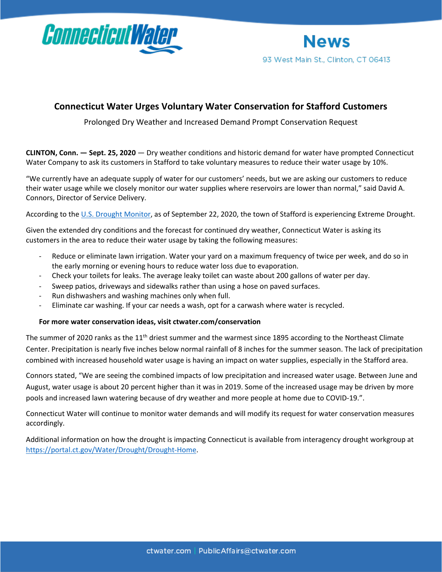



## **Connecticut Water Urges Voluntary Water Conservation for Stafford Customers**

Prolonged Dry Weather and Increased Demand Prompt Conservation Request

**CLINTON, Conn. — Sept. 25, 2020** — Dry weather conditions and historic demand for water have prompted Connecticut Water Company to ask its customers in Stafford to take voluntary measures to reduce their water usage by 10%.

"We currently have an adequate supply of water for our customers' needs, but we are asking our customers to reduce their water usage while we closely monitor our water supplies where reservoirs are lower than normal," said David A. Connors, Director of Service Delivery.

According to the [U.S. Drought Monitor,](https://droughtmonitor.unl.edu/CurrentMap/StateDroughtMonitor.aspx?CT) as of September 22, 2020, the town of Stafford is experiencing Extreme Drought.

Given the extended dry conditions and the forecast for continued dry weather, Connecticut Water is asking its customers in the area to reduce their water usage by taking the following measures:

- Reduce or eliminate lawn irrigation. Water your yard on a maximum frequency of twice per week, and do so in the early morning or evening hours to reduce water loss due to evaporation.
- Check your toilets for leaks. The average leaky toilet can waste about 200 gallons of water per day.
- Sweep patios, driveways and sidewalks rather than using a hose on paved surfaces.
- Run dishwashers and washing machines only when full.
- Eliminate car washing. If your car needs a wash, opt for a carwash where water is recycled.

## **For more water conservation ideas, visit [ctwater.com/conservation](http://ctwater.com/conservation)**

The summer of 2020 ranks as the 11<sup>th</sup> driest summer and the warmest since 1895 according to the Northeast Climate Center. Precipitation is nearly five inches below normal rainfall of 8 inches for the summer season. The lack of precipitation combined with increased household water usage is having an impact on water supplies, especially in the Stafford area.

Connors stated, "We are seeing the combined impacts of low precipitation and increased water usage. Between June and August, water usage is about 20 percent higher than it was in 2019. Some of the increased usage may be driven by more pools and increased lawn watering because of dry weather and more people at home due to COVID-19.".

Connecticut Water will continue to monitor water demands and will modify its request for water conservation measures accordingly.

Additional information on how the drought is impacting Connecticut is available from interagency drought workgroup at <https://portal.ct.gov/Water/Drought/Drought-Home>.